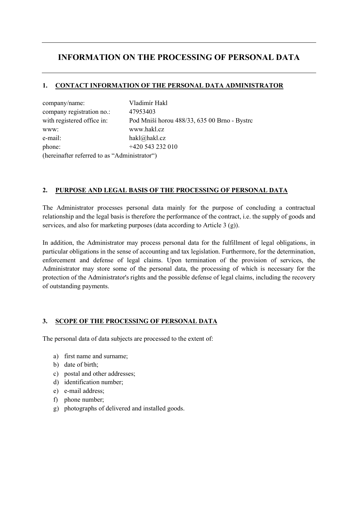# INFORMATION ON THE PROCESSING OF PERSONAL DATA

### 1. CONTACT INFORMATION OF THE PERSONAL DATA ADMINISTRATOR

| company/name:                                | Vladimír Hakl                                |
|----------------------------------------------|----------------------------------------------|
| company registration no.:                    | 47953403                                     |
| with registered office in:                   | Pod Mniší horou 488/33, 635 00 Brno - Bystrc |
| WWW:                                         | www.hakl.cz                                  |
| e-mail:                                      | hakl@hakl.cz                                 |
| phone:                                       | +420 543 232 010                             |
| (hereinafter referred to as "Administrator") |                                              |

#### 2. PURPOSE AND LEGAL BASIS OF THE PROCESSING OF PERSONAL DATA

The Administrator processes personal data mainly for the purpose of concluding a contractual relationship and the legal basis is therefore the performance of the contract, i.e. the supply of goods and services, and also for marketing purposes (data according to Article 3 (g)).

In addition, the Administrator may process personal data for the fulfillment of legal obligations, in particular obligations in the sense of accounting and tax legislation. Furthermore, for the determination, enforcement and defense of legal claims. Upon termination of the provision of services, the Administrator may store some of the personal data, the processing of which is necessary for the protection of the Administrator's rights and the possible defense of legal claims, including the recovery of outstanding payments.

## 3. SCOPE OF THE PROCESSING OF PERSONAL DATA

The personal data of data subjects are processed to the extent of:

- a) first name and surname;
- b) date of birth;
- c) postal and other addresses;
- d) identification number;
- e) e-mail address;
- f) phone number;
- g) photographs of delivered and installed goods.